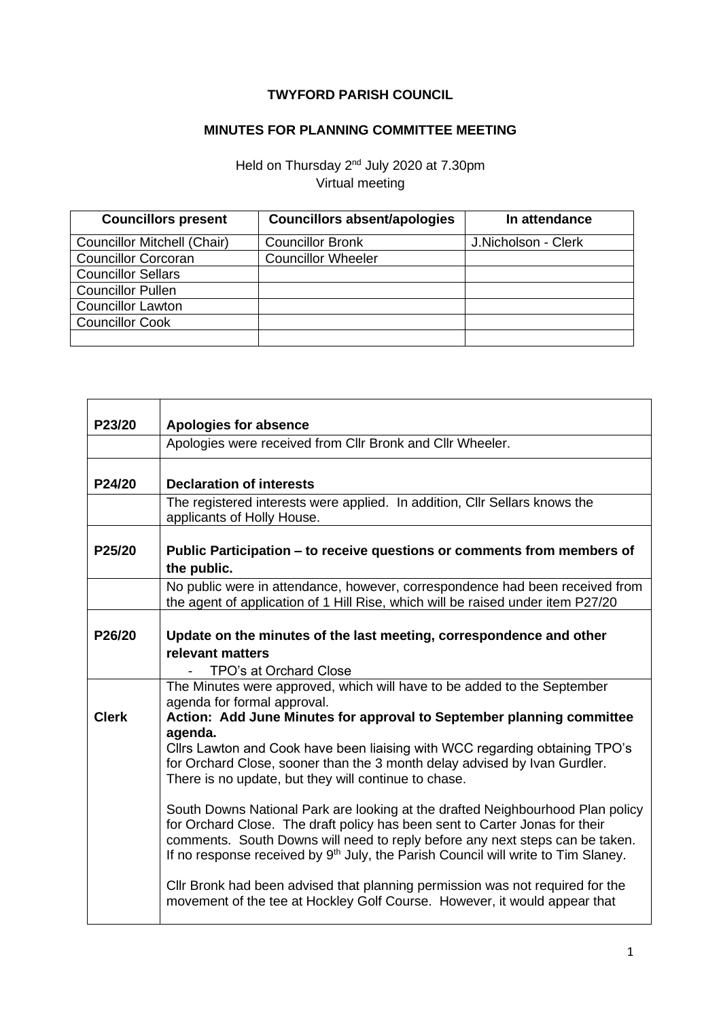## **TWYFORD PARISH COUNCIL**

## **MINUTES FOR PLANNING COMMITTEE MEETING**

Held on Thursday 2<sup>nd</sup> July 2020 at 7.30pm Virtual meeting

| <b>Councillors present</b>         | <b>Councillors absent/apologies</b> | In attendance       |
|------------------------------------|-------------------------------------|---------------------|
| <b>Councillor Mitchell (Chair)</b> | <b>Councillor Bronk</b>             | J.Nicholson - Clerk |
| <b>Councillor Corcoran</b>         | <b>Councillor Wheeler</b>           |                     |
| <b>Councillor Sellars</b>          |                                     |                     |
| <b>Councillor Pullen</b>           |                                     |                     |
| <b>Councillor Lawton</b>           |                                     |                     |
| <b>Councillor Cook</b>             |                                     |                     |
|                                    |                                     |                     |

| P23/20                          | <b>Apologies for absence</b>                                                                                                                                    |
|---------------------------------|-----------------------------------------------------------------------------------------------------------------------------------------------------------------|
|                                 | Apologies were received from Cllr Bronk and Cllr Wheeler.                                                                                                       |
|                                 |                                                                                                                                                                 |
| P24/20                          | <b>Declaration of interests</b>                                                                                                                                 |
|                                 | The registered interests were applied. In addition, Cllr Sellars knows the<br>applicants of Holly House.                                                        |
| P <sub>25</sub> / <sub>20</sub> | Public Participation – to receive questions or comments from members of                                                                                         |
|                                 | the public.                                                                                                                                                     |
|                                 | No public were in attendance, however, correspondence had been received from<br>the agent of application of 1 Hill Rise, which will be raised under item P27/20 |
| P <sub>26</sub> /20             | Update on the minutes of the last meeting, correspondence and other                                                                                             |
|                                 | relevant matters                                                                                                                                                |
|                                 | <b>TPO's at Orchard Close</b>                                                                                                                                   |
|                                 | The Minutes were approved, which will have to be added to the September                                                                                         |
|                                 | agenda for formal approval.                                                                                                                                     |
| <b>Clerk</b>                    | Action: Add June Minutes for approval to September planning committee                                                                                           |
|                                 | agenda.<br>Cllrs Lawton and Cook have been liaising with WCC regarding obtaining TPO's                                                                          |
|                                 | for Orchard Close, sooner than the 3 month delay advised by Ivan Gurdler.                                                                                       |
|                                 | There is no update, but they will continue to chase.                                                                                                            |
|                                 |                                                                                                                                                                 |
|                                 | South Downs National Park are looking at the drafted Neighbourhood Plan policy<br>for Orchard Close. The draft policy has been sent to Carter Jonas for their   |
|                                 | comments. South Downs will need to reply before any next steps can be taken.                                                                                    |
|                                 | If no response received by $9th$ July, the Parish Council will write to Tim Slaney.                                                                             |
|                                 | CIIr Bronk had been advised that planning permission was not required for the                                                                                   |
|                                 | movement of the tee at Hockley Golf Course. However, it would appear that                                                                                       |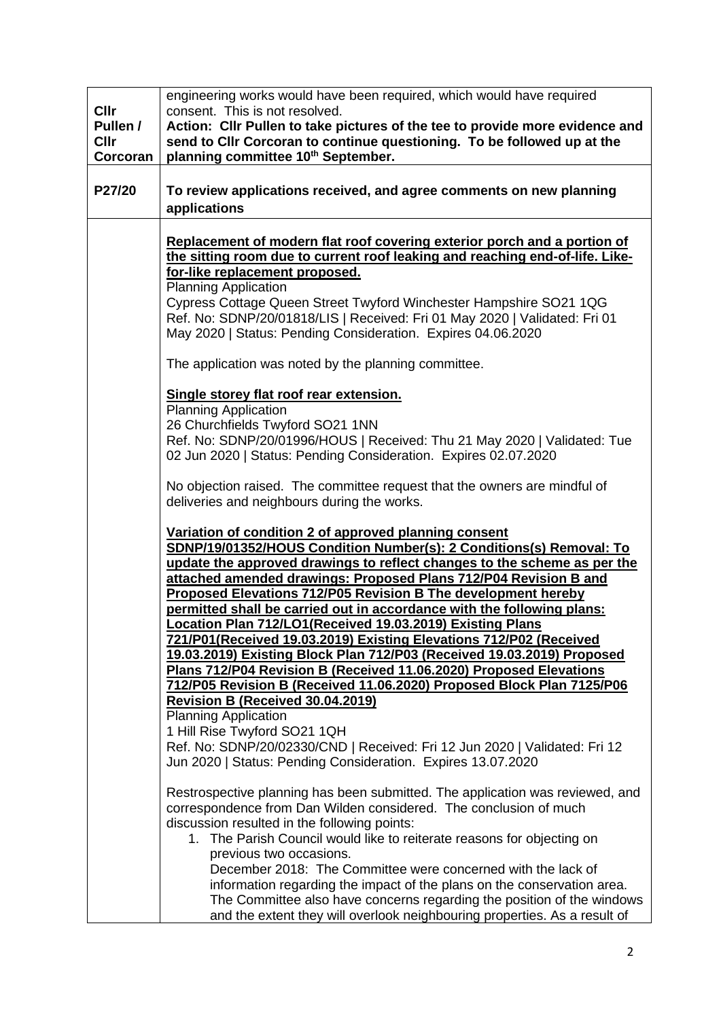| Cllr<br>Pullen /<br><b>Cllr</b><br>Corcoran | engineering works would have been required, which would have required<br>consent. This is not resolved.<br>Action: Cllr Pullen to take pictures of the tee to provide more evidence and<br>send to Cllr Corcoran to continue questioning. To be followed up at the<br>planning committee 10 <sup>th</sup> September.                                                                                                                                                                                                                                                                                                                                                                                                                                                                                                                                                                                                                                                                                                |
|---------------------------------------------|---------------------------------------------------------------------------------------------------------------------------------------------------------------------------------------------------------------------------------------------------------------------------------------------------------------------------------------------------------------------------------------------------------------------------------------------------------------------------------------------------------------------------------------------------------------------------------------------------------------------------------------------------------------------------------------------------------------------------------------------------------------------------------------------------------------------------------------------------------------------------------------------------------------------------------------------------------------------------------------------------------------------|
| P27/20                                      | To review applications received, and agree comments on new planning<br>applications                                                                                                                                                                                                                                                                                                                                                                                                                                                                                                                                                                                                                                                                                                                                                                                                                                                                                                                                 |
|                                             | Replacement of modern flat roof covering exterior porch and a portion of<br>the sitting room due to current roof leaking and reaching end-of-life. Like-<br>for-like replacement proposed.<br><b>Planning Application</b><br>Cypress Cottage Queen Street Twyford Winchester Hampshire SO21 1QG<br>Ref. No: SDNP/20/01818/LIS   Received: Fri 01 May 2020   Validated: Fri 01<br>May 2020   Status: Pending Consideration. Expires 04.06.2020                                                                                                                                                                                                                                                                                                                                                                                                                                                                                                                                                                       |
|                                             | The application was noted by the planning committee.<br>Single storey flat roof rear extension.<br><b>Planning Application</b><br>26 Churchfields Twyford SO21 1NN<br>Ref. No: SDNP/20/01996/HOUS   Received: Thu 21 May 2020   Validated: Tue<br>02 Jun 2020   Status: Pending Consideration. Expires 02.07.2020<br>No objection raised. The committee request that the owners are mindful of                                                                                                                                                                                                                                                                                                                                                                                                                                                                                                                                                                                                                      |
|                                             | deliveries and neighbours during the works.<br>Variation of condition 2 of approved planning consent<br>SDNP/19/01352/HOUS Condition Number(s): 2 Conditions(s) Removal: To<br>update the approved drawings to reflect changes to the scheme as per the<br>attached amended drawings: Proposed Plans 712/P04 Revision B and<br>Proposed Elevations 712/P05 Revision B The development hereby<br>permitted shall be carried out in accordance with the following plans:<br>Location Plan 712/LO1(Received 19.03.2019) Existing Plans<br>721/P01(Received 19.03.2019) Existing Elevations 712/P02 (Received<br>19.03.2019) Existing Block Plan 712/P03 (Received 19.03.2019) Proposed<br>Plans 712/P04 Revision B (Received 11.06.2020) Proposed Elevations<br>712/P05 Revision B (Received 11.06.2020) Proposed Block Plan 7125/P06<br>Revision B (Received 30.04.2019)<br><b>Planning Application</b><br>1 Hill Rise Twyford SO21 1QH<br>Ref. No: SDNP/20/02330/CND   Received: Fri 12 Jun 2020   Validated: Fri 12 |
|                                             | Jun 2020   Status: Pending Consideration. Expires 13.07.2020<br>Restrospective planning has been submitted. The application was reviewed, and<br>correspondence from Dan Wilden considered. The conclusion of much<br>discussion resulted in the following points:<br>1. The Parish Council would like to reiterate reasons for objecting on<br>previous two occasions.<br>December 2018: The Committee were concerned with the lack of<br>information regarding the impact of the plans on the conservation area.<br>The Committee also have concerns regarding the position of the windows<br>and the extent they will overlook neighbouring properties. As a result of                                                                                                                                                                                                                                                                                                                                           |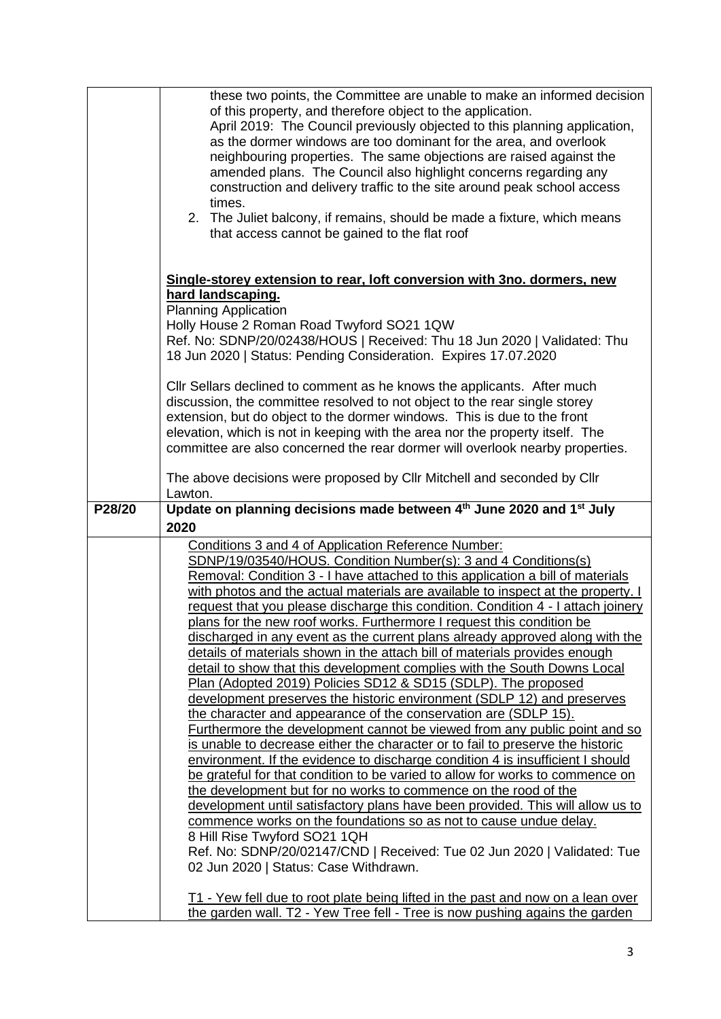|        | these two points, the Committee are unable to make an informed decision                |
|--------|----------------------------------------------------------------------------------------|
|        | of this property, and therefore object to the application.                             |
|        | April 2019: The Council previously objected to this planning application,              |
|        | as the dormer windows are too dominant for the area, and overlook                      |
|        | neighbouring properties. The same objections are raised against the                    |
|        | amended plans. The Council also highlight concerns regarding any                       |
|        |                                                                                        |
|        | construction and delivery traffic to the site around peak school access                |
|        | times.                                                                                 |
|        | 2. The Juliet balcony, if remains, should be made a fixture, which means               |
|        | that access cannot be gained to the flat roof                                          |
|        |                                                                                        |
|        |                                                                                        |
|        | Single-storey extension to rear, loft conversion with 3no. dormers, new                |
|        | hard landscaping.                                                                      |
|        | <b>Planning Application</b>                                                            |
|        | Holly House 2 Roman Road Twyford SO21 1QW                                              |
|        |                                                                                        |
|        | Ref. No: SDNP/20/02438/HOUS   Received: Thu 18 Jun 2020   Validated: Thu               |
|        | 18 Jun 2020   Status: Pending Consideration. Expires 17.07.2020                        |
|        |                                                                                        |
|        | Cllr Sellars declined to comment as he knows the applicants. After much                |
|        | discussion, the committee resolved to not object to the rear single storey             |
|        | extension, but do object to the dormer windows. This is due to the front               |
|        | elevation, which is not in keeping with the area nor the property itself. The          |
|        | committee are also concerned the rear dormer will overlook nearby properties.          |
|        |                                                                                        |
|        | The above decisions were proposed by Cllr Mitchell and seconded by Cllr                |
|        | Lawton.                                                                                |
|        |                                                                                        |
|        |                                                                                        |
| P28/20 | Update on planning decisions made between 4th June 2020 and 1 <sup>st</sup> July       |
|        | 2020                                                                                   |
|        | Conditions 3 and 4 of Application Reference Number:                                    |
|        | SDNP/19/03540/HOUS. Condition Number(s): 3 and 4 Conditions(s)                         |
|        |                                                                                        |
|        | Removal: Condition 3 - I have attached to this application a bill of materials         |
|        | with photos and the actual materials are available to inspect at the property. I       |
|        | request that you please discharge this condition. Condition 4 - I attach joinery       |
|        | plans for the new roof works. Furthermore I request this condition be                  |
|        | discharged in any event as the current plans already approved along with the           |
|        | details of materials shown in the attach bill of materials provides enough             |
|        | detail to show that this development complies with the South Downs Local               |
|        | Plan (Adopted 2019) Policies SD12 & SD15 (SDLP). The proposed                          |
|        | development preserves the historic environment (SDLP 12) and preserves                 |
|        | the character and appearance of the conservation are (SDLP 15).                        |
|        | <u>Furthermore the development cannot be viewed from any public point and so</u>       |
|        |                                                                                        |
|        | is unable to decrease either the character or to fail to preserve the historic         |
|        | environment. If the evidence to discharge condition 4 is insufficient I should         |
|        | be grateful for that condition to be varied to allow for works to commence on          |
|        | the development but for no works to commence on the rood of the                        |
|        | development until satisfactory plans have been provided. This will allow us to         |
|        | commence works on the foundations so as not to cause undue delay.                      |
|        | 8 Hill Rise Twyford SO21 1QH                                                           |
|        | Ref. No: SDNP/20/02147/CND   Received: Tue 02 Jun 2020   Validated: Tue                |
|        | 02 Jun 2020   Status: Case Withdrawn.                                                  |
|        |                                                                                        |
|        | <u>T1 - Yew fell due to root plate being lifted in the past and now on a lean over</u> |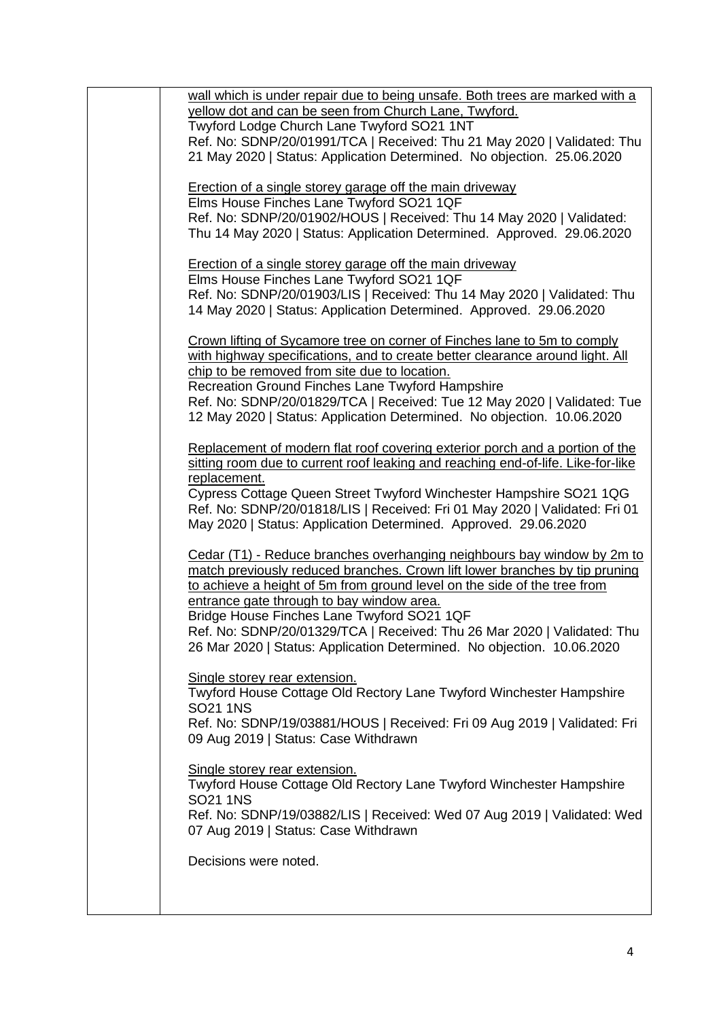| wall which is under repair due to being unsafe. Both trees are marked with a     |
|----------------------------------------------------------------------------------|
| yellow dot and can be seen from Church Lane, Twyford.                            |
| Twyford Lodge Church Lane Twyford SO21 1NT                                       |
| Ref. No: SDNP/20/01991/TCA   Received: Thu 21 May 2020   Validated: Thu          |
| 21 May 2020   Status: Application Determined. No objection. 25.06.2020           |
|                                                                                  |
| <b>Erection of a single storey garage off the main driveway</b>                  |
| Elms House Finches Lane Twyford SO21 1QF                                         |
| Ref. No: SDNP/20/01902/HOUS   Received: Thu 14 May 2020   Validated:             |
| Thu 14 May 2020   Status: Application Determined. Approved. 29.06.2020           |
|                                                                                  |
| Erection of a single storey garage off the main driveway                         |
| Elms House Finches Lane Twyford SO21 1QF                                         |
| Ref. No: SDNP/20/01903/LIS   Received: Thu 14 May 2020   Validated: Thu          |
| 14 May 2020   Status: Application Determined. Approved. 29.06.2020               |
|                                                                                  |
| Crown lifting of Sycamore tree on corner of Finches lane to 5m to comply         |
| with highway specifications, and to create better clearance around light. All    |
| chip to be removed from site due to location.                                    |
| Recreation Ground Finches Lane Twyford Hampshire                                 |
| Ref. No: SDNP/20/01829/TCA   Received: Tue 12 May 2020   Validated: Tue          |
| 12 May 2020   Status: Application Determined. No objection. 10.06.2020           |
|                                                                                  |
| Replacement of modern flat roof covering exterior porch and a portion of the     |
| sitting room due to current roof leaking and reaching end-of-life. Like-for-like |
| replacement.                                                                     |
| Cypress Cottage Queen Street Twyford Winchester Hampshire SO21 1QG               |
| Ref. No: SDNP/20/01818/LIS   Received: Fri 01 May 2020   Validated: Fri 01       |
| May 2020   Status: Application Determined. Approved. 29.06.2020                  |
|                                                                                  |
| Cedar (T1) - Reduce branches overhanging neighbours bay window by 2m to          |
| match previously reduced branches. Crown lift lower branches by tip pruning      |
| to achieve a height of 5m from ground level on the side of the tree from         |
| entrance gate through to bay window area.                                        |
| Bridge House Finches Lane Twyford SO21 1QF                                       |
| Ref. No: SDNP/20/01329/TCA   Received: Thu 26 Mar 2020   Validated: Thu          |
| 26 Mar 2020   Status: Application Determined. No objection. 10.06.2020           |
|                                                                                  |
| Single storey rear extension.                                                    |
| Twyford House Cottage Old Rectory Lane Twyford Winchester Hampshire              |
| <b>SO21 1NS</b>                                                                  |
| Ref. No: SDNP/19/03881/HOUS   Received: Fri 09 Aug 2019   Validated: Fri         |
| 09 Aug 2019   Status: Case Withdrawn                                             |
|                                                                                  |
| Single storey rear extension.                                                    |
| Twyford House Cottage Old Rectory Lane Twyford Winchester Hampshire              |
| <b>SO21 1NS</b>                                                                  |
| Ref. No: SDNP/19/03882/LIS   Received: Wed 07 Aug 2019   Validated: Wed          |
| 07 Aug 2019   Status: Case Withdrawn                                             |
|                                                                                  |
| Decisions were noted.                                                            |
|                                                                                  |
|                                                                                  |